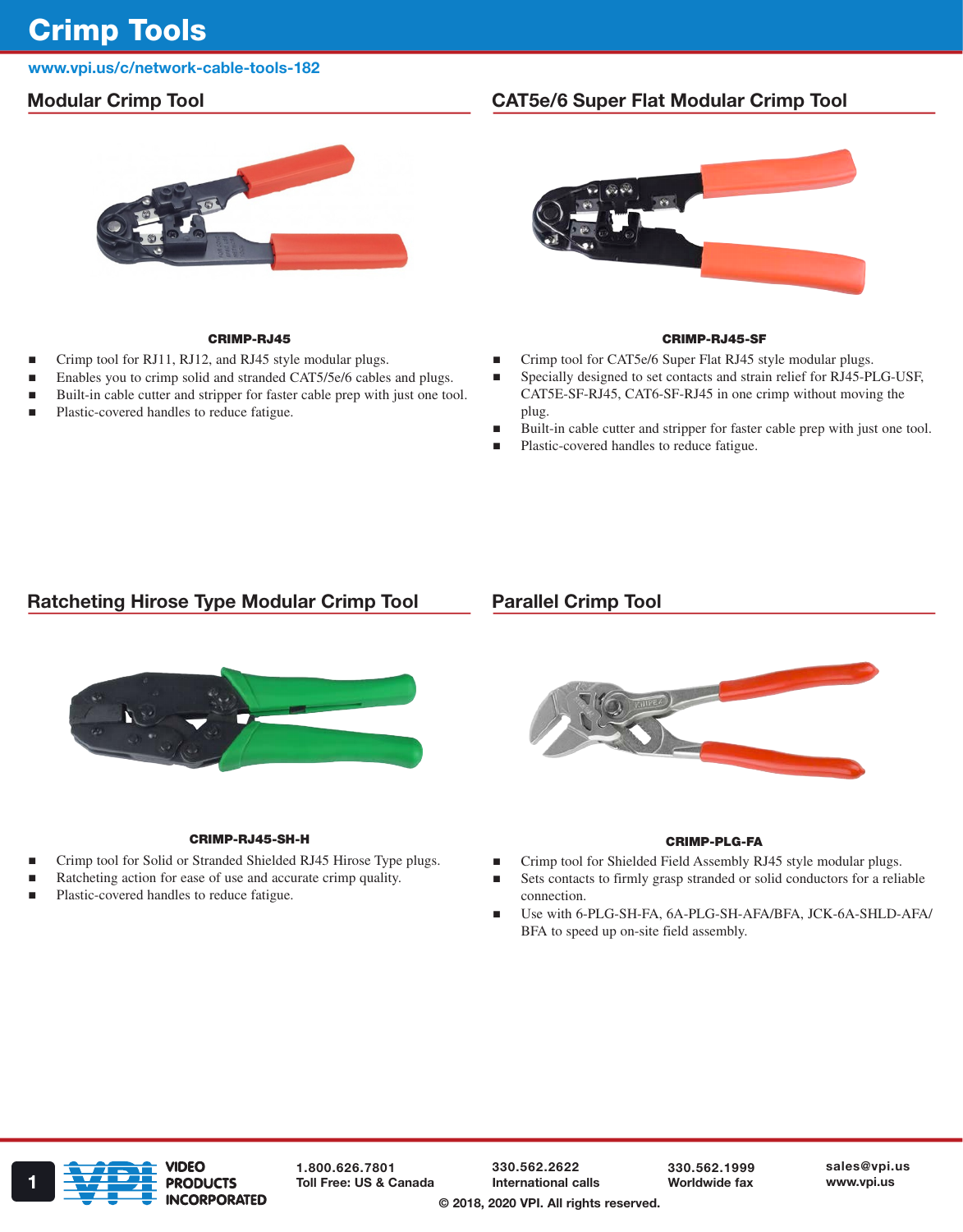# Crimp Tools

# www.vpi.us/c/network-cable-tools-182

# Modular Crimp Tool



### CRIMP-RJ45

- Crimp tool for RJ11, RJ12, and RJ45 style modular plugs.
- Enables you to crimp solid and stranded CAT5/5e/6 cables and plugs.
- Built-in cable cutter and stripper for faster cable prep with just one tool.
- Plastic-covered handles to reduce fatigue.

# CAT5e/6 Super Flat Modular Crimp Tool



#### CRIMP-RJ45-SF

- Crimp tool for CAT5e/6 Super Flat RJ45 style modular plugs.
- Specially designed to set contacts and strain relief for RJ45-PLG-USF, CAT5E-SF-RJ45, CAT6-SF-RJ45 in one crimp without moving the plug.
- Built-in cable cutter and stripper for faster cable prep with just one tool.
- Plastic-covered handles to reduce fatigue.

# Ratcheting Hirose Type Modular Crimp Tool

### Parallel Crimp Tool



#### CRIMP-RJ45-SH-H CRIMP-PLG-FA

- Crimp tool for Solid or Stranded Shielded RJ45 Hirose Type plugs.
- Ratcheting action for ease of use and accurate crimp quality.
- Plastic-covered handles to reduce fatigue.



- Crimp tool for Shielded Field Assembly RJ45 style modular plugs.
- Sets contacts to firmly grasp stranded or solid conductors for a reliable connection.
- Use with 6-PLG-SH-FA, 6A-PLG-SH-AFA/BFA, JCK-6A-SHLD-AFA/ BFA to speed up on-site field assembly.



1.800.626.7801

330.562.2622 International calls 330.562.1999 Worldwide fax sales@vpi.us

© 2018, 2020 VPI. All rights reserved.